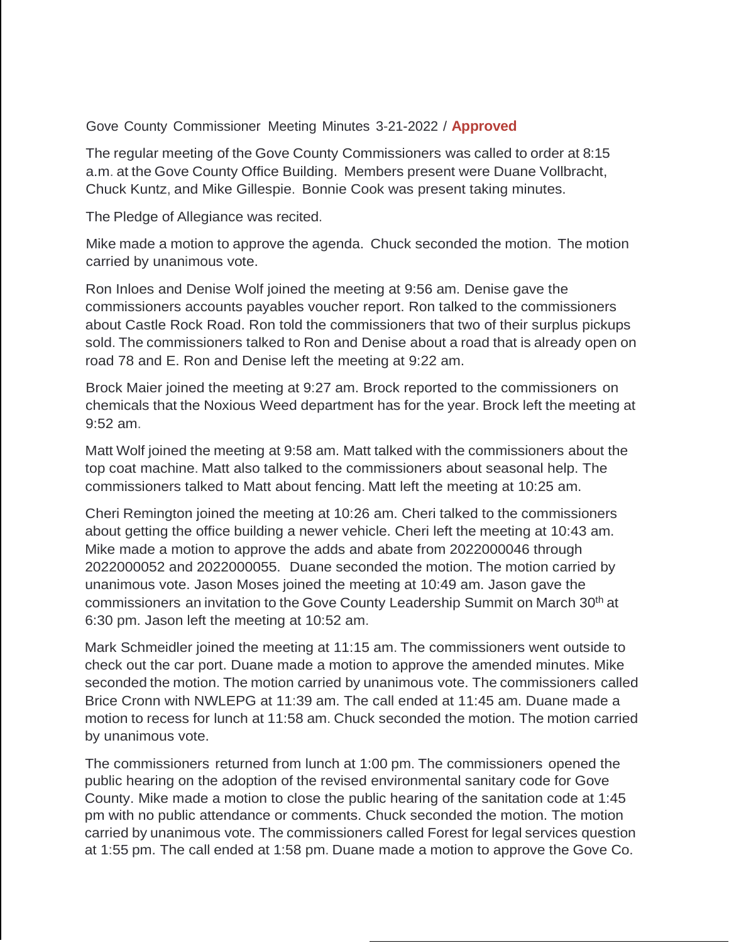## Gove County Commissioner Meeting Minutes 3-21-2022 / **Approved**

The regular meeting of the Gove County Commissioners was called to order at 8:15 a.m. at the Gove County Office Building. Members present were Duane Vollbracht, Chuck Kuntz, and Mike Gillespie. Bonnie Cook was present taking minutes.

The Pledge of Allegiance was recited.

Mike made a motion to approve the agenda. Chuck seconded the motion. The motion carried by unanimous vote.

Ron Inloes and Denise Wolf joined the meeting at 9:56 am. Denise gave the commissioners accounts payables voucher report. Ron talked to the commissioners about Castle Rock Road. Ron told the commissioners that two of their surplus pickups sold. The commissioners talked to Ron and Denise about a road that is already open on road 78 and E. Ron and Denise left the meeting at 9:22 am.

Brock Maier joined the meeting at 9:27 am. Brock reported to the commissioners on chemicals that the Noxious Weed department has for the year. Brock left the meeting at 9:52 am.

Matt Wolf joined the meeting at 9:58 am. Matt talked with the commissioners about the top coat machine. Matt also talked to the commissioners about seasonal help. The commissioners talked to Matt about fencing. Matt left the meeting at 10:25 am.

Cheri Remington joined the meeting at 10:26 am. Cheri talked to the commissioners about getting the office building a newer vehicle. Cheri left the meeting at 10:43 am. Mike made a motion to approve the adds and abate from 2022000046 through 2022000052 and 2022000055. Duane seconded the motion. The motion carried by unanimous vote. Jason Moses joined the meeting at 10:49 am. Jason gave the commissioners an invitation to the Gove County Leadership Summit on March 30<sup>th</sup> at 6:30 pm. Jason left the meeting at 10:52 am.

Mark Schmeidler joined the meeting at 11:15 am. The commissioners went outside to check out the car port. Duane made a motion to approve the amended minutes. Mike seconded the motion. The motion carried by unanimous vote. The commissioners called Brice Cronn with NWLEPG at 11:39 am. The call ended at 11:45 am. Duane made a motion to recess for lunch at 11:58 am. Chuck seconded the motion. The motion carried by unanimous vote.

The commissioners returned from lunch at 1:00 pm. The commissioners opened the public hearing on the adoption of the revised environmental sanitary code for Gove County. Mike made a motion to close the public hearing of the sanitation code at 1:45 pm with no public attendance or comments. Chuck seconded the motion. The motion carried by unanimous vote. The commissioners called Forest for legal services question at 1:55 pm. The call ended at 1:58 pm. Duane made a motion to approve the Gove Co.